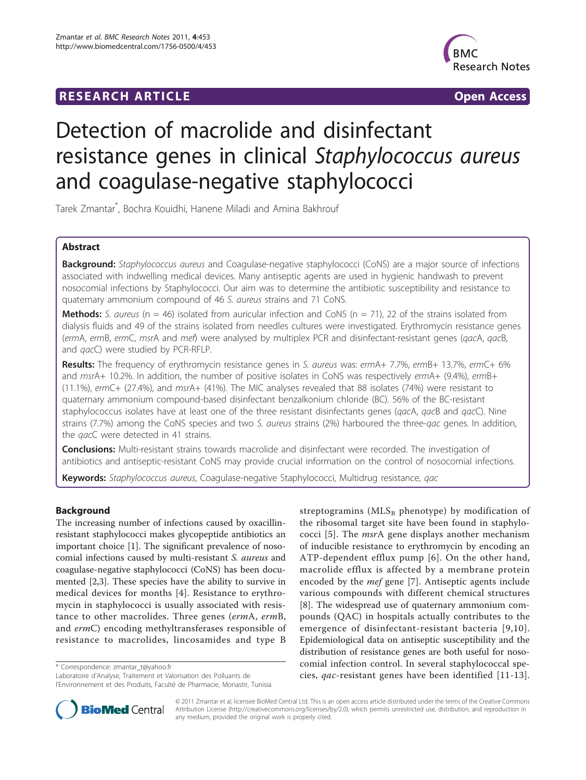# **RESEARCH ARTICLE Example 2018 12:30 THE Open Access**



# Detection of macrolide and disinfectant resistance genes in clinical Staphylococcus aureus and coagulase-negative staphylococci

Tarek Zmantar\* , Bochra Kouidhi, Hanene Miladi and Amina Bakhrouf

# Abstract

Background: Staphylococcus aureus and Coagulase-negative staphylococci (CoNS) are a major source of infections associated with indwelling medical devices. Many antiseptic agents are used in hygienic handwash to prevent nosocomial infections by Staphylococci. Our aim was to determine the antibiotic susceptibility and resistance to quaternary ammonium compound of 46 S. aureus strains and 71 CoNS.

**Methods:** S. aureus ( $n = 46$ ) isolated from auricular infection and CoNS ( $n = 71$ ), 22 of the strains isolated from dialysis fluids and 49 of the strains isolated from needles cultures were investigated. Erythromycin resistance genes (ermA, ermB, ermC, msrA and mef) were analysed by multiplex PCR and disinfectant-resistant genes (qacA, qacB, and qacC) were studied by PCR-RFLP.

Results: The frequency of erythromycin resistance genes in S. aureus was: ermA+ 7.7%, ermB+ 13.7%, ermC+ 6% and msrA+ 10.2%. In addition, the number of positive isolates in CoNS was respectively ermA+ (9.4%), ermB+ (11.1%), ermC+ (27.4%), and msrA+ (41%). The MIC analyses revealed that 88 isolates (74%) were resistant to quaternary ammonium compound-based disinfectant benzalkonium chloride (BC). 56% of the BC-resistant staphylococcus isolates have at least one of the three resistant disinfectants genes (qacA, qacB and qacC). Nine strains (7.7%) among the CoNS species and two S. aureus strains (2%) harboured the three-qac genes. In addition, the *qac*C were detected in 41 strains.

**Conclusions:** Multi-resistant strains towards macrolide and disinfectant were recorded. The investigation of antibiotics and antiseptic-resistant CoNS may provide crucial information on the control of nosocomial infections.

Keywords: Staphylococcus aureus, Coagulase-negative Staphylococci, Multidrug resistance, qac

# Background

The increasing number of infections caused by oxacillinresistant staphylococci makes glycopeptide antibiotics an important choice [[1\]](#page-7-0). The significant prevalence of nosocomial infections caused by multi-resistant S. aureus and coagulase-negative staphylococci (CoNS) has been documented [[2,3\]](#page-7-0). These species have the ability to survive in medical devices for months [[4\]](#page-7-0). Resistance to erythromycin in staphylococci is usually associated with resistance to other macrolides. Three genes (ermA, ermB, and ermC) encoding methyltransferases responsible of resistance to macrolides, lincosamides and type B

\* Correspondence: [zmantar\\_t@yahoo.fr](mailto:zmantar_t@yahoo.fr)

Laboratoire d'Analyse, Traitement et Valorisation des Polluants de l'Environnement et des Produits, Faculté de Pharmacie, Monastir, Tunisia

streptogramins ( $MLS_B$  phenotype) by modification of the ribosomal target site have been found in staphylococci [\[5](#page-7-0)]. The msrA gene displays another mechanism of inducible resistance to erythromycin by encoding an ATP-dependent efflux pump [\[6\]](#page-7-0). On the other hand, macrolide efflux is affected by a membrane protein encoded by the *mef* gene [[7\]](#page-7-0). Antiseptic agents include various compounds with different chemical structures [[8\]](#page-7-0). The widespread use of quaternary ammonium compounds (QAC) in hospitals actually contributes to the emergence of disinfectant-resistant bacteria [[9](#page-7-0),[10\]](#page-7-0). Epidemiological data on antiseptic susceptibility and the distribution of resistance genes are both useful for nosocomial infection control. In several staphylococcal species, qac-resistant genes have been identified [\[11-13\]](#page-7-0).



© 2011 Zmantar et al; licensee BioMed Central Ltd. This is an open access article distributed under the terms of the Creative Commons Attribution License [\(http://creativecommons.org/licenses/by/2.0](http://creativecommons.org/licenses/by/2.0)), which permits unrestricted use, distribution, and reproduction in any medium, provided the original work is properly cited.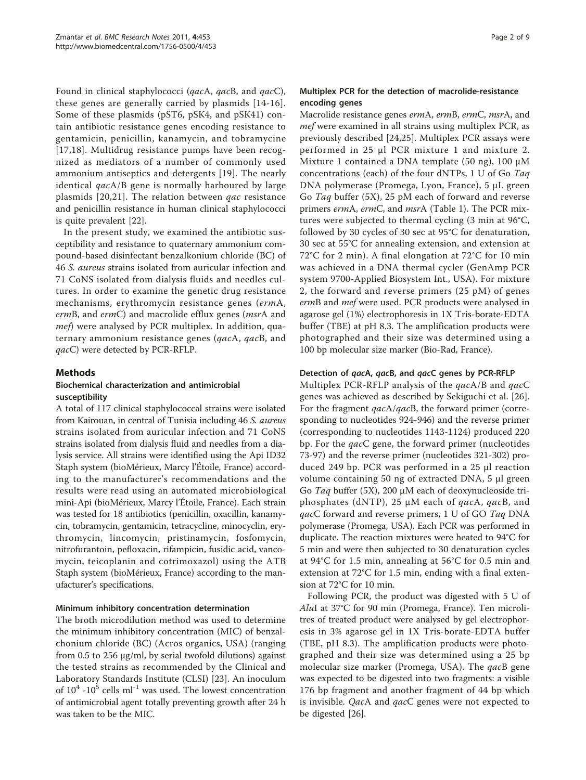Found in clinical staphylococci (qacA, qacB, and qacC), these genes are generally carried by plasmids [[14-16\]](#page-8-0). Some of these plasmids (pST6, pSK4, and pSK41) contain antibiotic resistance genes encoding resistance to gentamicin, penicillin, kanamycin, and tobramycine [[17](#page-8-0),[18\]](#page-8-0). Multidrug resistance pumps have been recognized as mediators of a number of commonly used ammonium antiseptics and detergents [[19\]](#page-8-0). The nearly identical qacA/B gene is normally harboured by large plasmids [\[20,21](#page-8-0)]. The relation between qac resistance and penicillin resistance in human clinical staphylococci is quite prevalent [[22\]](#page-8-0).

In the present study, we examined the antibiotic susceptibility and resistance to quaternary ammonium compound-based disinfectant benzalkonium chloride (BC) of 46 S. aureus strains isolated from auricular infection and 71 CoNS isolated from dialysis fluids and needles cultures. In order to examine the genetic drug resistance mechanisms, erythromycin resistance genes (ermA, ermB, and ermC) and macrolide efflux genes (msrA and mef) were analysed by PCR multiplex. In addition, quaternary ammonium resistance genes (qacA, qacB, and qacC) were detected by PCR-RFLP.

# **Methods**

# Biochemical characterization and antimicrobial susceptibility

A total of 117 clinical staphylococcal strains were isolated from Kairouan, in central of Tunisia including 46 S. aureus strains isolated from auricular infection and 71 CoNS strains isolated from dialysis fluid and needles from a dialysis service. All strains were identified using the Api ID32 Staph system (bioMérieux, Marcy l'Étoile, France) according to the manufacturer's recommendations and the results were read using an automated microbiological mini-Api (bioMérieux, Marcy l'Étoile, France). Each strain was tested for 18 antibiotics (penicillin, oxacillin, kanamycin, tobramycin, gentamicin, tetracycline, minocyclin, erythromycin, lincomycin, pristinamycin, fosfomycin, nitrofurantoin, pefloxacin, rifampicin, fusidic acid, vancomycin, teicoplanin and cotrimoxazol) using the ATB Staph system (bioMérieux, France) according to the manufacturer's specifications.

# Minimum inhibitory concentration determination

The broth microdilution method was used to determine the minimum inhibitory concentration (MIC) of benzalchonium chloride (BC) (Acros organics, USA) (ranging from 0.5 to 256 μg/ml, by serial twofold dilutions) against the tested strains as recommended by the Clinical and Laboratory Standards Institute (CLSI) [\[23](#page-8-0)]. An inoculum of  $10^4$  -10<sup>5</sup> cells ml<sup>-1</sup> was used. The lowest concentration of antimicrobial agent totally preventing growth after 24 h was taken to be the MIC.

# Multiplex PCR for the detection of macrolide-resistance encoding genes

Macrolide resistance genes ermA, ermB, ermC, msrA, and mef were examined in all strains using multiplex PCR, as previously described [[24,25](#page-8-0)]. Multiplex PCR assays were performed in 25 μl PCR mixture 1 and mixture 2. Mixture 1 contained a DNA template (50 ng), 100 μM concentrations (each) of the four dNTPs, 1 U of Go Taq DNA polymerase (Promega, Lyon, France), 5 μL green Go Taq buffer (5X), 25 pM each of forward and reverse primers ermA, ermC, and msrA (Table [1](#page-2-0)). The PCR mixtures were subjected to thermal cycling (3 min at 96°C, followed by 30 cycles of 30 sec at 95°C for denaturation, 30 sec at 55°C for annealing extension, and extension at 72°C for 2 min). A final elongation at 72°C for 10 min was achieved in a DNA thermal cycler (GenAmp PCR system 9700-Applied Biosystem Int., USA). For mixture 2, the forward and reverse primers (25 pM) of genes ermB and mef were used. PCR products were analysed in agarose gel (1%) electrophoresis in 1X Tris-borate-EDTA buffer (TBE) at pH 8.3. The amplification products were photographed and their size was determined using a 100 bp molecular size marker (Bio-Rad, France).

# Detection of qacA, qacB, and qacC genes by PCR-RFLP

Multiplex PCR-RFLP analysis of the *qacA/B* and *qacC* genes was achieved as described by Sekiguchi et al. [[26](#page-8-0)]. For the fragment qacA/qacB, the forward primer (corresponding to nucleotides 924-946) and the reverse primer (corresponding to nucleotides 1143-1124) produced 220 bp. For the *qac*C gene, the forward primer (nucleotides 73-97) and the reverse primer (nucleotides 321-302) produced 249 bp. PCR was performed in a 25 μl reaction volume containing 50 ng of extracted DNA, 5 μl green Go Taq buffer (5X), 200  $\mu$ M each of deoxynucleoside triphosphates (dNTP), 25  $\mu$ M each of *qacA*, *qacB*, and qacC forward and reverse primers, 1 U of GO Taq DNA polymerase (Promega, USA). Each PCR was performed in duplicate. The reaction mixtures were heated to 94°C for 5 min and were then subjected to 30 denaturation cycles at 94°C for 1.5 min, annealing at 56°C for 0.5 min and extension at 72°C for 1.5 min, ending with a final extension at 72°C for 10 min.

Following PCR, the product was digested with 5 U of AluI at 37°C for 90 min (Promega, France). Ten microlitres of treated product were analysed by gel electrophoresis in 3% agarose gel in 1X Tris-borate-EDTA buffer (TBE, pH 8.3). The amplification products were photographed and their size was determined using a 25 bp molecular size marker (Promega, USA). The *qac*B gene was expected to be digested into two fragments: a visible 176 bp fragment and another fragment of 44 bp which is invisible. QacA and qacC genes were not expected to be digested [\[26\]](#page-8-0).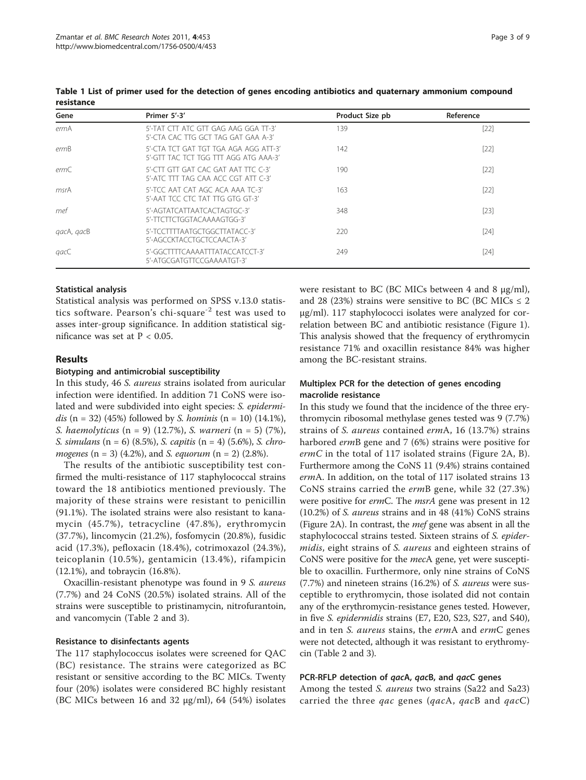| Gene       | Primer 5'-3'                                                                   | Product Size pb | Reference |
|------------|--------------------------------------------------------------------------------|-----------------|-----------|
| ermA       | 5'-TAT CTT ATC GTT GAG AAG GGA TT-3'<br>5'-CTA CAC TTG GCT TAG GAT GAA A-3'    | 139             | $[22]$    |
| ermB       | 5'-CTA TCT GAT TGT TGA AGA AGG ATT-3'<br>5'-GTT TAC TCT TGG TTT AGG ATG AAA-3' | 142             | $[22]$    |
| ermC       | 5'-CTT GTT GAT CAC GAT AAT TTC C-3'<br>5'-ATC TTT TAG CAA ACC CGT ATT C-3'     | 190             | $[22]$    |
| msrA       | 5'-TCC AAT CAT AGC ACA AAA TC-3'<br>5'-AAT TCC CTC TAT TTG GTG GT-3'           | 163             | $[22]$    |
| mef        | 5'-AGTATCATTAATCACTAGTGC-3'<br>5'-TTCTTCTGGTACAAAAGTGG-3'                      | 348             | $[23]$    |
| gacA, gacB | 5'-TCCTTTTAATGCTGGCTTATACC-3'<br>5'-AGCCKTACCTGCTCCAACTA-3'                    | 220             | $[24]$    |
| gacC       | 5'-GGCTTTTCAAAATTTATACCATCCT-3'<br>5'-ATGCGATGTTCCGAAAATGT-3'                  | 249             | $[24]$    |

<span id="page-2-0"></span>Table 1 List of primer used for the detection of genes encoding antibiotics and quaternary ammonium compound resistance

#### Statistical analysis

Statistical analysis was performed on SPSS v.13.0 statistics software. Pearson's chi-square<sup>-2</sup> test was used to asses inter-group significance. In addition statistical significance was set at P < 0.05.

# Results

#### Biotyping and antimicrobial susceptibility

In this study, 46 S. aureus strains isolated from auricular infection were identified. In addition 71 CoNS were isolated and were subdivided into eight species: S. epidermidis  $(n = 32)$  (45%) followed by *S. hominis*  $(n = 10)$  (14.1%), S. haemolyticus  $(n = 9)$  (12.7%), S. warneri  $(n = 5)$  (7%), S. simulans  $(n = 6)$  (8.5%), S. capitis  $(n = 4)$  (5.6%), S. chro*mogenes* (n = 3) (4.2%), and *S. equorum* (n = 2) (2.8%).

The results of the antibiotic susceptibility test confirmed the multi-resistance of 117 staphylococcal strains toward the 18 antibiotics mentioned previously. The majority of these strains were resistant to penicillin (91.1%). The isolated strains were also resistant to kanamycin (45.7%), tetracycline (47.8%), erythromycin (37.7%), lincomycin (21.2%), fosfomycin (20.8%), fusidic acid (17.3%), pefloxacin (18.4%), cotrimoxazol (24.3%), teicoplanin (10.5%), gentamicin (13.4%), rifampicin (12.1%), and tobraycin (16.8%).

Oxacillin-resistant phenotype was found in 9 S. aureus (7.7%) and 24 CoNS (20.5%) isolated strains. All of the strains were susceptible to pristinamycin, nitrofurantoin, and vancomycin (Table [2](#page-3-0) and [3](#page-4-0)).

#### Resistance to disinfectants agents

The 117 staphylococcus isolates were screened for QAC (BC) resistance. The strains were categorized as BC resistant or sensitive according to the BC MICs. Twenty four (20%) isolates were considered BC highly resistant (BC MICs between 16 and 32 μg/ml), 64 (54%) isolates were resistant to BC (BC MICs between 4 and 8 μg/ml), and 28 (23%) strains were sensitive to BC (BC MICs  $\leq$  2 μg/ml). 117 staphylococci isolates were analyzed for correlation between BC and antibiotic resistance (Figure [1](#page-5-0)). This analysis showed that the frequency of erythromycin resistance 71% and oxacillin resistance 84% was higher among the BC-resistant strains.

# Multiplex PCR for the detection of genes encoding macrolide resistance

In this study we found that the incidence of the three erythromycin ribosomal methylase genes tested was 9 (7.7%) strains of S. aureus contained ermA, 16 (13.7%) strains harbored ermB gene and 7 (6%) strains were positive for  $ermC$  in the total of 117 isolated strains (Figure [2A, B](#page-6-0)). Furthermore among the CoNS 11 (9.4%) strains contained ermA. In addition, on the total of 117 isolated strains 13 CoNS strains carried the ermB gene, while 32 (27.3%) were positive for ermC. The msrA gene was present in 12 (10.2%) of S. aureus strains and in 48 (41%) CoNS strains (Figure [2A](#page-6-0)). In contrast, the *mef* gene was absent in all the staphylococcal strains tested. Sixteen strains of S. epidermidis, eight strains of S. aureus and eighteen strains of CoNS were positive for the mecA gene, yet were susceptible to oxacillin. Furthermore, only nine strains of CoNS (7.7%) and nineteen strains (16.2%) of S. aureus were susceptible to erythromycin, those isolated did not contain any of the erythromycin-resistance genes tested. However, in five S. epidermidis strains (E7, E20, S23, S27, and S40), and in ten *S. aureus* stains, the ermA and ermC genes were not detected, although it was resistant to erythromycin (Table [2](#page-3-0) and [3](#page-4-0)).

#### PCR-RFLP detection of qacA, qacB, and qacC genes

Among the tested *S. aureus* two strains (Sa22 and Sa23) carried the three *qac* genes (*qacA*, *qacB* and  $qacC$ )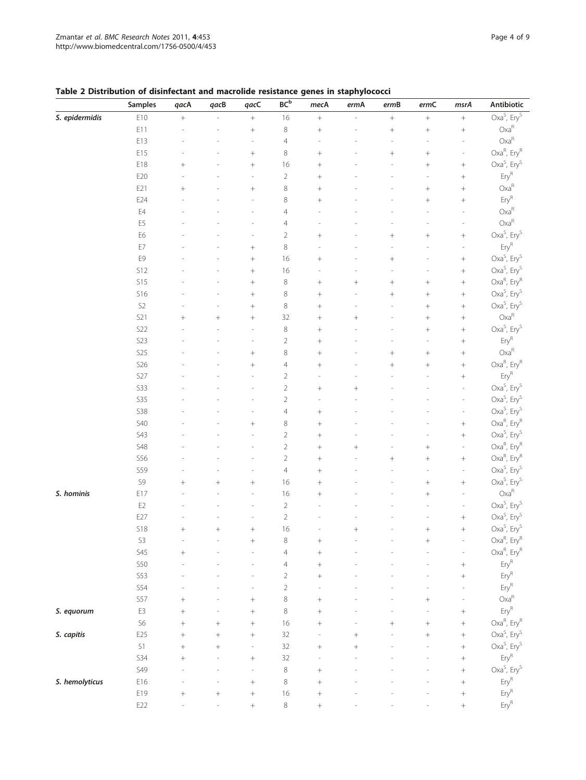# <span id="page-3-0"></span>Table 2 Distribution of disinfectant and macrolide resistance genes in staphylococci

|                | Samples         | qacA   | qacB             | qacC                     | BC <sup>b</sup> | mecA             | ermA   | ermB             | ermC             | msrA             | Antibiotic                          |
|----------------|-----------------|--------|------------------|--------------------------|-----------------|------------------|--------|------------------|------------------|------------------|-------------------------------------|
| S. epidermidis | E10             | $^{+}$ |                  | $\boldsymbol{+}$         | 16              | $\boldsymbol{+}$ |        | $\boldsymbol{+}$ | $^+$             | $\boldsymbol{+}$ | Oxa <sup>S</sup> , Ery <sup>S</sup> |
|                | E11             |        |                  | $^{+}$                   | 8               |                  |        | $^+$             | $\! +$           | $^+$             | $Oxa^R$                             |
|                | E13             |        |                  | i,                       | $\overline{4}$  |                  |        |                  |                  |                  | $Oxa^R$                             |
|                | E15             |        |                  | $\ddag$                  | $\,8\,$         | $^{+}$           |        | $^{+}$           | $\! +$           | ÷,               | Oxa <sup>R</sup> , Ery <sup>R</sup> |
|                | E18             | $^{+}$ |                  |                          | 16              | $^{+}$           |        |                  | $\! +$           |                  | Oxa <sup>S</sup> , Ery <sup>S</sup> |
|                | E20             |        |                  |                          | $\overline{2}$  | $^{+}$           |        |                  |                  |                  | $\mathsf{Ery}^{\mathsf{R}}$         |
|                | E21             | $^{+}$ |                  |                          | $\,8\,$         | $^{+}$           |        |                  | $\! +$           |                  | $Oxa^R$                             |
|                | E24             |        |                  |                          | $\,8\,$         | $^{+}$           |        |                  | $^{+}$           |                  | $\mathsf{Ery}^{\mathsf{R}}$         |
|                | E4              |        |                  |                          | $\overline{4}$  |                  |        |                  |                  |                  | $Oxa^R$                             |
|                | E <sub>5</sub>  |        |                  |                          | $\overline{4}$  |                  |        |                  |                  |                  | $Oxa^R$                             |
|                | E6              |        |                  |                          | $\overline{2}$  | $^{+}$           |        | $^{+}$           |                  |                  | $Oxa^S$ , Ery <sup>S</sup>          |
|                | E7              |        |                  |                          | $\,8\,$         |                  |        |                  |                  |                  | $\mathsf{Ery}^{\mathsf{R}}$         |
|                | E9              |        |                  | $^{+}$                   | 16              |                  |        | $^{+}$           |                  | $^+$             | Oxa <sup>S</sup> , Ery <sup>S</sup> |
|                | <b>S12</b>      |        |                  | $^{+}$                   | 16              |                  |        |                  |                  |                  | Oxa <sup>S</sup> , Ery <sup>S</sup> |
|                | <b>S15</b>      |        |                  | $\ddag$                  | 8               | $\! +$           |        | $^{+}$           | $+$              |                  | Oxa <sup>R</sup> , Ery <sup>R</sup> |
|                | <b>S16</b>      |        |                  | $^{+}$                   | $\,8\,$         |                  |        | $^{+}$           |                  |                  | $Oxa^S$ , Ery <sup>S</sup>          |
|                | $\mathsf{S2}\,$ |        |                  | $^{+}$                   | $\,8\,$         |                  |        |                  | $\boldsymbol{+}$ | $^+$             | Oxa <sup>S</sup> , Ery <sup>S</sup> |
|                | S21             | $^{+}$ | $+$              | $^{+}$                   | 32              |                  | $^{+}$ |                  | $\boldsymbol{+}$ | $^+$             | $Oxa^R$                             |
|                | <b>S22</b>      |        |                  | ÷,                       | $\,8\,$         |                  |        |                  |                  | $^+$             | $Oxa^S$ , Ery <sup>S</sup>          |
|                | <b>S23</b>      |        |                  | ÷,                       | $\overline{2}$  |                  |        |                  |                  | $^+$             | $\mathsf{Ery}^\mathsf{R}$           |
|                | <b>S25</b>      |        |                  | $^{+}$                   | $\,8\,$         | $\! + \!$        |        | $^{+}$           | $\boldsymbol{+}$ | $^+$             | $Oxa^R$                             |
|                | <b>S26</b>      |        |                  | $\ddag$                  | $\overline{4}$  |                  |        | $^{+}$           | $+$              | $^+$             | $Oxa^R$ , Ery $^R$                  |
|                | S27             |        |                  | J.                       | $\overline{2}$  |                  |        |                  |                  | $\boldsymbol{+}$ | $\mathsf{Ery}^{\mathsf{R}}$         |
|                | <b>S33</b>      |        |                  |                          | $\sqrt{2}$      | $^{+}$           | $^{+}$ |                  |                  | ÷,               | Oxa <sup>S</sup> , Ery <sup>S</sup> |
|                | <b>S35</b>      |        |                  |                          | $\sqrt{2}$      |                  |        |                  |                  | ٠                | Oxa <sup>S</sup> , Ery <sup>S</sup> |
|                | <b>S38</b>      |        |                  |                          | $\overline{4}$  | $^{+}$           |        |                  |                  |                  | Oxa <sup>S</sup> , Ery <sup>S</sup> |
|                | <b>S40</b>      |        |                  | $\ddag$                  | $\,8\,$         | $^{+}$           |        |                  |                  | $^{+}$           | $Oxa^R$ , Ery $^R$                  |
|                | S43             |        |                  | i,                       | $\sqrt{2}$      | $^{+}$           |        |                  |                  | $^{+}$           | Oxa <sup>S</sup> , $Ery^S$          |
|                | <b>S48</b>      |        |                  |                          | $\sqrt{2}$      | $^{+}$           | $^{+}$ |                  | $+$              |                  | Oxa <sup>R</sup> , $Ery^R$          |
|                | <b>S56</b>      |        |                  |                          | $\overline{2}$  | $^{+}$           |        | $^{+}$           | $+$              | $^{+}$           | Oxa <sup>R</sup> , $Ery^R$          |
|                | <b>S59</b>      |        |                  |                          | $\overline{4}$  | $^{+}$           |        |                  |                  |                  | Oxa <sup>S</sup> , Ery <sup>S</sup> |
|                | S9              | $^{+}$ | $^{+}$           | $^{+}$                   | 16              | $^{+}$           |        |                  | $+$              |                  | $Oxa^S$ , Ery <sup>S</sup>          |
| S. hominis     | E17             |        |                  |                          | 16              | $^{+}$           |        |                  | $+$              |                  | $Oxa^R$                             |
|                | $\mathsf{E}2$   |        |                  |                          | $\sqrt{2}$      |                  |        |                  |                  |                  | Oxa <sup>S</sup> , Ery <sup>S</sup> |
|                | E27             |        |                  |                          | $\sqrt{2}$      |                  |        |                  |                  |                  | Oxa <sup>S</sup> , Ery <sup>S</sup> |
|                | <b>S18</b>      | $^{+}$ | $^{+}$           | $^{+}$                   | 16              |                  | $^{+}$ |                  |                  | $^{+}$           | Oxa <sup>S</sup> , Ery <sup>S</sup> |
|                | S <sub>3</sub>  |        |                  |                          | 8               | $^+$             |        |                  |                  |                  | Oxa <sup>R</sup> , Ery <sup>R</sup> |
|                | <b>S45</b>      | $^{+}$ |                  |                          | $\overline{4}$  |                  |        |                  |                  |                  | Oxa <sup>R</sup> , $Ery^R$          |
|                | <b>S50</b>      |        |                  |                          | $\overline{4}$  | $^{+}$           |        |                  |                  |                  | $\mathsf{Ery}^{\mathsf{R}}$         |
|                | <b>S53</b>      |        |                  |                          | $\sqrt{2}$      | $^{+}$           |        |                  |                  | $^{+}$           | $\mathsf{Ery}^{\mathsf{R}}$         |
|                | <b>S54</b>      |        |                  |                          | $\sqrt{2}$      |                  |        |                  |                  |                  | $Ery^R$                             |
|                | S57             | $^{+}$ |                  | $^{+}$                   | $\,8\,$         | $^{+}$           |        |                  | $^{+}$           |                  | $Oxa^R$                             |
| S. equorum     | E3              | $^{+}$ |                  | $\ddag$                  | $\,8\,$         | $^{+}$           |        |                  |                  |                  | $\mathsf{Ery}^{\mathsf{R}}$         |
|                | S <sub>6</sub>  | $^{+}$ | $^{+}$           | $^{+}$                   | 16              | $^{+}$           |        | $^{+}$           | $^{+}$           | $^{+}$           | $Oxa^R$ , Ery $^R$                  |
| S. capitis     | E25             |        | $^{+}$           | $\ddag$                  | 32              |                  | $^{+}$ |                  | $^{+}$           | $^{+}$           | $Oxa^S$ , Ery <sup>S</sup>          |
|                | S1              | $^{+}$ | $^{+}$           | $\overline{\phantom{a}}$ | 32              | $^{+}$           | $^{+}$ |                  |                  | $^{+}$           | $Oxa^S$ , Ery <sup>S</sup>          |
|                | <b>S34</b>      | $^{+}$ |                  | $^{+}$                   | 32              |                  |        |                  |                  | $^{+}$           | $\mathsf{Ery}^{\mathsf{R}}$         |
|                | <b>S49</b>      |        |                  | J,                       | 8               | $^{+}$           |        |                  |                  |                  | Oxa <sup>S</sup> , $Ery^S$          |
| S. hemolyticus | E16             |        |                  | $^{+}$                   | 8               | $^{+}$           |        |                  |                  | $^+$             | $\mathsf{Ery}^{\mathsf{R}}$         |
|                | E19             |        | $\boldsymbol{+}$ | $^{+}$                   | 16              | $^{+}$           |        |                  |                  | $^+$             | $\mathsf{Ery}^{\mathsf{R}}$         |
|                | E22             |        |                  | $^{+}$                   | $\,8\,$         | $^{+}$           |        |                  |                  |                  | $\mathsf{Ery}^{\mathsf{R}}$         |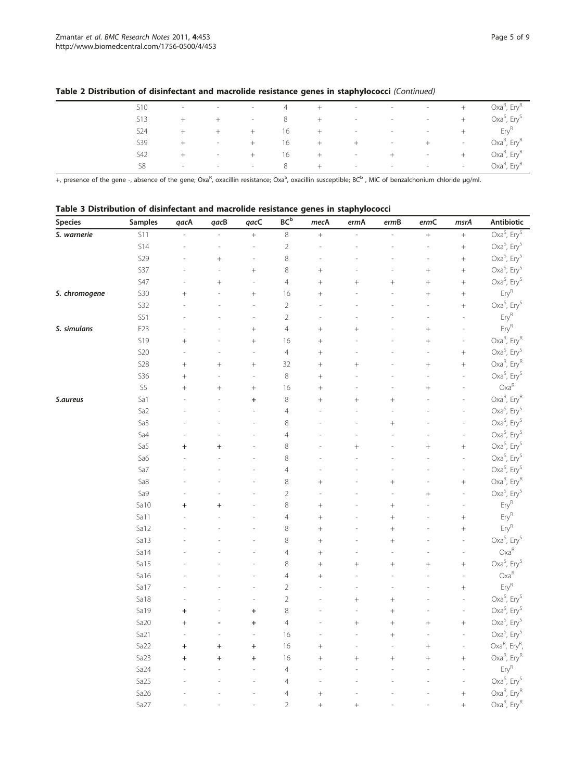| S <sub>10</sub> | $\overline{\phantom{a}}$ | $\overline{\phantom{a}}$ | $-$             | 4  | $+$    | $\overline{\phantom{a}}$ | $-$                      | $\overline{\phantom{a}}$ | $^{+}$                   | Oxa <sup>R</sup> , Ery <sup>R</sup> |
|-----------------|--------------------------|--------------------------|-----------------|----|--------|--------------------------|--------------------------|--------------------------|--------------------------|-------------------------------------|
| <b>S13</b>      | $^+$                     | $^{+}$                   | $\sim$          | 8  | $+$    | $\sim$                   | $\overline{\phantom{a}}$ | $\sim$                   | $^{+}$                   | Oxa <sup>S</sup> , Ery <sup>S</sup> |
| S24             | $^{+}$                   | $^{+}$                   | $+$             | 16 | $+$    | $\overline{\phantom{a}}$ | $\sim$                   | $\overline{\phantom{a}}$ | $^{+}$                   | Ery <sup>K</sup>                    |
| S39             | $^{+}$                   | $\overline{\phantom{a}}$ | $+$             | 16 | $^{+}$ | $+$                      | $\overline{\phantom{a}}$ | $+$                      | $\overline{\phantom{a}}$ | Oxa <sup>R</sup> , Ery <sup>R</sup> |
| S42             | $^{+}$                   | $\sim$                   | $+$             | 16 | $+$    | $\overline{\phantom{a}}$ | $+$                      | $\overline{\phantom{a}}$ | $^{+}$                   | $Oxa^R$ , Ery $^R$                  |
| S8              | $\sim$                   | $\sim$                   | and the control | 8  | $+$    | $\sim$                   | $\sim$                   | $\sim$                   | $\sim$                   | Oxa <sup>R</sup> , Ery <sup>R</sup> |
|                 |                          |                          |                 |    |        |                          |                          |                          |                          |                                     |

## <span id="page-4-0"></span>Table 2 Distribution of disinfectant and macrolide resistance genes in staphylococci (Continued)

+, presence of the gene -, absence of the gene; Oxa<sup>R</sup>, oxacillin resistance; Oxa<sup>S</sup>, oxacillin susceptible; BC<sup>b</sup> , MIC of benzalchonium chloride μg/ml.

# Table 3 Distribution of disinfectant and macrolide resistance genes in staphylococci

| <b>Species</b> | Samples          | qacA      | qacB      | qacC           | BC <sup>b</sup> | mecA       | ermA      | ermB      | $\ensuremath{\textit{ermC}}$ | msrA                     | Antibiotic                            |
|----------------|------------------|-----------|-----------|----------------|-----------------|------------|-----------|-----------|------------------------------|--------------------------|---------------------------------------|
| S. warnerie    | S11              |           |           | $^+$           | $\,8\,$         |            |           |           | $^{+}$                       |                          | Oxa <sup>S</sup> , Ery <sup>S</sup>   |
|                | S14              |           |           |                | $\sqrt{2}$      |            |           |           |                              | $^{+}$                   | Oxa <sup>S</sup> , Ery <sup>S</sup>   |
|                | S29              |           | $\! + \!$ | $\overline{a}$ | 8               |            |           |           |                              | $^{+}$                   | Oxa <sup>S</sup> , Ery <sup>S</sup>   |
|                | S37              |           |           | $^{+}$         | 8               | $^{+}$     |           |           | $^{+}$                       | $^{+}$                   | Oxa <sup>S</sup> , Ery <sup>S</sup>   |
|                | S47              |           | $^{+}$    |                | $\overline{4}$  | $\ddot{}$  | $^{+}$    | $^{+}$    | $\ddot{}$                    | $^{+}$                   | Oxa <sup>S</sup> , Ery <sup>S</sup>   |
| S. chromogene  | <b>S30</b>       | $^{+}$    |           | $^{+}$         | 16              | $^{+}$     |           |           | $^{+}$                       | $^{+}$                   | $Ery^R$                               |
|                | S32              |           |           | ÷              | $\overline{2}$  |            |           |           |                              | $^{+}$                   | Oxa <sup>S</sup> , Ery <sup>S</sup>   |
|                | S51              |           |           | ÷,             | $\sqrt{2}$      |            |           |           |                              | Ĩ.                       | Ery <sup>R</sup>                      |
| S. simulans    | E23              |           |           | $^{+}$         | $\overline{4}$  |            | $\ddot{}$ |           | $^{+}$                       |                          | $Ery^R$                               |
|                | S19              | $^{+}$    |           | $^{+}$         | 16              | $^{+}$     |           |           | $^{+}$                       | $\overline{a}$           | Oxa <sup>R</sup> , Ery <sup>R</sup>   |
|                | <b>S20</b>       |           |           | J,             | $\overline{4}$  | $^{+}$     |           |           |                              | $^{+}$                   | Oxa <sup>S</sup> , Ery <sup>S</sup>   |
|                | <b>S28</b>       | $^{+}$    | $^{+}$    | $\ddag$        | 32              | $^{+}$     | $^{+}$    |           | $^{+}$                       | $^{+}$                   | Oxa <sup>R</sup> , Ery <sup>R</sup>   |
|                | <b>S36</b>       | $^{+}$    |           | ÷.             | 8               | $^{+}$     |           |           |                              | J.                       | Oxa <sup>S</sup> , Ery <sup>S</sup>   |
|                | S <sub>5</sub>   | $^{+}$    | $^{+}$    | $\ddot{}$      | 16              | $\ddot{}$  |           |           | $^{+}$                       |                          | $Oxa^R$                               |
| S.aureus       | Sa1              |           |           | $\ddot{}$      | 8               | $\ddot{+}$ | $^{+}$    | $\ddot{}$ |                              |                          | Oxa <sup>R</sup> , Ery <sup>R</sup>   |
|                | Sa2              |           |           |                | $\overline{4}$  |            |           |           |                              |                          | Oxa <sup>S</sup> , Ery <sup>S</sup>   |
|                | Sa3              |           |           |                | 8               |            |           | $^{+}$    |                              |                          | Oxa <sup>S</sup> , Ery <sup>S</sup>   |
|                | Sa4              |           |           |                | $\overline{4}$  |            |           |           |                              |                          | Oxa <sup>S</sup> , Ery <sup>S</sup>   |
|                | Sa5              | $^{+}$    | $\ddot{}$ |                | 8               |            | $\ddot{}$ |           | $^{+}$                       | $^{+}$                   | $Oxa^S$ , Ery <sup>S</sup>            |
|                | Sa6              |           |           |                | 8               |            |           |           |                              | J.                       | Oxa <sup>S</sup> , Ery <sup>S</sup>   |
|                | Sa7              |           |           |                | $\overline{4}$  |            |           |           |                              | Ĩ.                       | $Oxa^S$ , Ery <sup>S</sup>            |
|                | Sa8              |           |           |                | 8               | $^{+}$     |           | $^{+}$    |                              | $^{+}$                   | Oxa <sup>R</sup> , Ery <sup>R</sup>   |
|                | Sa9              |           |           |                | $\sqrt{2}$      |            |           |           | $^{+}$                       | J.                       | Oxa <sup>S</sup> , Ery <sup>S</sup>   |
|                | Sa10             | $\ddot{}$ | $\ddot{}$ |                | 8               | $^{+}$     |           | $^{+}$    |                              |                          | $Ery^R$                               |
|                | Sa11             |           |           |                | $\overline{4}$  | $^{+}$     |           | $^{+}$    |                              | $^{+}$                   | $Ery^R$                               |
|                | Sa12             |           |           |                | 8               | $^{+}$     |           | $^{+}$    |                              | $\ddot{}$                | $Ery^R$                               |
|                | Sa13             |           |           |                | 8               | $^{+}$     |           | $\ddot{}$ |                              | J.                       | Oxa <sup>S</sup> , Ery <sup>S</sup>   |
|                | Sa14             |           |           |                | $\overline{4}$  | $^{+}$     |           |           |                              | Î.                       | $Oxa^R$                               |
|                | Sa15             |           |           |                | $\,8\,$         | $^{+}$     | $^{+}$    | $^{+}$    | $^{+}$                       | $^{+}$                   | Oxa <sup>S</sup> , Ery <sup>S</sup>   |
|                | Sa16             |           |           |                | $\overline{4}$  | $^{+}$     |           |           |                              |                          | $Oxa^R$                               |
|                | Sa17             |           |           |                | $\sqrt{2}$      |            |           |           |                              | $^{+}$                   | $Ery^R$                               |
|                | Sa18             |           |           |                | $\sqrt{2}$      |            | $\! + \!$ | $^{+}$    |                              |                          | Oxa <sup>S</sup> , Ery <sup>S</sup>   |
|                | Sa19             | $\ddot{}$ |           | $\ddot{}$      | $\,8\,$         |            |           | $^{+}$    |                              | L,                       | Oxa <sup>S</sup> , Ery <sup>S</sup>   |
|                | Sa20             | $^{+}$    |           | $\ddot{}$      | $\overline{4}$  |            | $^{+}$    | $^{+}$    | $^{+}$                       | $^{+}$                   | $Oxa^S$ , Ery <sup>S</sup>            |
|                | Sa21             | J.        |           | ÷,             | 16              |            |           | $^{+}$    |                              | L,                       | Oxa <sup>S</sup> , Ery <sup>S</sup>   |
|                | Sa22             | $\ddot{}$ | $+$       | $+$            | 16              | $^{+}$     |           | ÷,        | $^{+}$                       | $\overline{\phantom{0}}$ | Oxa <sup>R</sup> , Ery <sup>R</sup> , |
|                | Sa23             | $\ddot{}$ | $\ddot{}$ | $\ddot{}$      | 16              | $^{+}$     | $^{+}$    | $^{+}$    | $^{+}$                       | $^{+}$                   | Oxa <sup>R</sup> , Ery <sup>R</sup>   |
|                | Sa <sub>24</sub> |           |           |                | $\overline{4}$  |            |           |           |                              |                          | $Ery^R$                               |
|                | Sa25             |           |           |                | $\overline{4}$  |            |           |           |                              | Ĩ.                       | Oxa <sup>S</sup> , Ery <sup>S</sup>   |
|                | Sa26             |           |           |                | $\overline{4}$  | $^{+}$     |           |           |                              | $^{+}$                   | Oxa <sup>R</sup> , Ery <sup>R</sup>   |
|                | Sa27             |           |           |                | $\overline{2}$  | $^{+}$     | $^{+}$    |           |                              | $\ddot{}$                | Oxa <sup>R</sup> , Ery <sup>R</sup>   |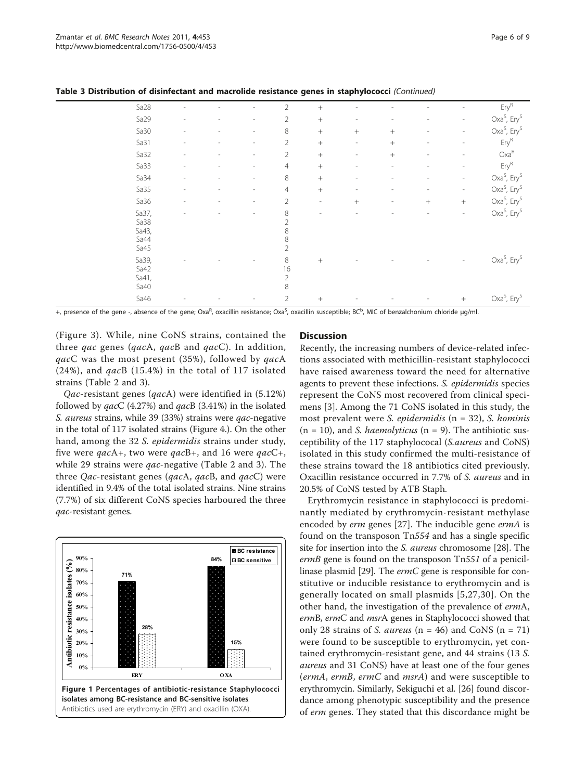| Sa28                                   |                          |                          |                          | $\overline{2}$                     | $+$                      |                          |                |                |                          | $Ery^R$                                                                    |
|----------------------------------------|--------------------------|--------------------------|--------------------------|------------------------------------|--------------------------|--------------------------|----------------|----------------|--------------------------|----------------------------------------------------------------------------|
| Sa29                                   | $\overline{a}$           |                          | ۰                        | $\overline{2}$                     | $\, +$                   | $\overline{\phantom{a}}$ | Î.             |                | $\overline{\phantom{a}}$ | $Oxa^S$ , Ery <sup>S</sup>                                                 |
| Sa30                                   | $\overline{a}$           | $\overline{a}$           | $\overline{\phantom{0}}$ | $\,8\,$                            | $\! +$                   | $^{+}$                   | $^{+}$         | $\overline{a}$ | $\overline{\phantom{a}}$ | Oxa <sup>S</sup> , Ery <sup>S</sup>                                        |
| Sa31                                   | $\overline{a}$           | $\overline{a}$           | $\overline{\phantom{0}}$ | $\overline{2}$                     | $\, +$                   | $\overline{\phantom{a}}$ | $^{+}$         |                | $\overline{\phantom{0}}$ | $Ery^R$                                                                    |
| Sa32                                   | $\overline{a}$           | $\overline{a}$           | $\overline{\phantom{0}}$ | $\overline{2}$                     | $\, +$                   | $\overline{\phantom{a}}$ | $+$            |                | $\overline{\phantom{0}}$ | $Oxa^R$                                                                    |
| Sa33                                   | $\overline{a}$           | $\overline{a}$           | $\overline{a}$           | $\overline{4}$                     | $\, +$                   |                          | ٠              |                | $\overline{\phantom{a}}$ | $\mathsf{Ery}^{\mathsf{R}}$                                                |
| Sa34                                   | $\overline{\phantom{a}}$ | $\overline{\phantom{a}}$ | $\overline{a}$           | 8                                  | $\! +$                   | $\overline{a}$           | $\overline{a}$ | $\overline{a}$ | $\overline{\phantom{a}}$ | $Oxa^S$ , Ery <sup>S</sup>                                                 |
| Sa35                                   | $\overline{\phantom{a}}$ | $\overline{\phantom{a}}$ | $\overline{\phantom{0}}$ | $\overline{4}$                     | $\, +$                   | $\overline{\phantom{a}}$ | $\overline{a}$ | $\overline{a}$ | $\overline{\phantom{a}}$ | $Oxa^S$ , Ery <sup>S</sup>                                                 |
| Sa36                                   | $\overline{a}$           | $\overline{a}$           | ۰                        | $\overline{2}$                     | $\overline{\phantom{a}}$ | $\! +$                   | $\overline{a}$ | $\! +$         | $\! +$                   | Oxa <sup>S</sup> , Ery <sup>S</sup>                                        |
| Sa37,<br>Sa38<br>Sa43,<br>Sa44<br>Sa45 |                          |                          | $\overline{a}$           | 8<br>$\overline{2}$<br>8<br>8<br>2 | $\sim$                   |                          |                |                | $\overline{\phantom{a}}$ | Oxa <sup>S</sup> , Ery <sup>S</sup><br>Oxa <sup>S</sup> , Ery <sup>S</sup> |
| Sa39,<br>Sa42<br>Sa41,<br>Sa40         |                          |                          |                          | 8<br>16<br>$\overline{2}$<br>8     | $+$                      |                          |                |                | $\overline{a}$           |                                                                            |
| Sa46                                   |                          |                          |                          | $\overline{2}$                     | $+$                      |                          |                |                | $\! + \!\!\!\!$          | Oxa <sup>S</sup> , Ery <sup>S</sup>                                        |

<span id="page-5-0"></span>Table 3 Distribution of disinfectant and macrolide resistance genes in staphylococci (Continued)

+, presence of the gene -, absence of the gene; Oxa<sup>R</sup>, oxacillin resistance; Oxa<sup>S</sup>, oxacillin susceptible; BC<sup>b</sup>, MIC of benzalchonium chloride μg/ml.

(Figure [3\)](#page-6-0). While, nine CoNS strains, contained the three *qac* genes (*qacA*, *qacB* and *qacC*). In addition, qacC was the most present (35%), followed by qacA (24%), and  $qacB$  (15.4%) in the total of 117 isolated strains (Table [2](#page-3-0) and [3](#page-4-0)).

Qac-resistant genes (qacA) were identified in (5.12%) followed by  $qacC$  (4.27%) and  $qacB$  (3.41%) in the isolated S. aureus strains, while 39 (33%) strains were qac-negative in the total of 117 isolated strains (Figure [4](#page-6-0).). On the other hand, among the 32 S. epidermidis strains under study, five were qacA+, two were qacB+, and 16 were qacC+, while [2](#page-3-0)9 strains were *qac*-negative (Table 2 and [3](#page-4-0)). The three Qac-resistant genes (qacA, qacB, and  $qacC$ ) were identified in 9.4% of the total isolated strains. Nine strains (7.7%) of six different CoNS species harboured the three qac-resistant genes.



## **Discussion**

Recently, the increasing numbers of device-related infections associated with methicillin-resistant staphylococci have raised awareness toward the need for alternative agents to prevent these infections. S. epidermidis species represent the CoNS most recovered from clinical specimens [[3\]](#page-7-0). Among the 71 CoNS isolated in this study, the most prevalent were *S. epidermidis* ( $n = 32$ ), *S. hominis*  $(n = 10)$ , and *S. haemolyticus*  $(n = 9)$ . The antibiotic susceptibility of the 117 staphylococal (S.aureus and CoNS) isolated in this study confirmed the multi-resistance of these strains toward the 18 antibiotics cited previously. Oxacillin resistance occurred in 7.7% of S. aureus and in 20.5% of CoNS tested by ATB Staph.

Erythromycin resistance in staphylococci is predominantly mediated by erythromycin-resistant methylase encoded by erm genes [[27](#page-8-0)]. The inducible gene ermA is found on the transposon Tn554 and has a single specific site for insertion into the S. aureus chromosome [[28\]](#page-8-0). The ermB gene is found on the transposon Tn551 of a penicil-linase plasmid [\[29\]](#page-8-0). The *ermC* gene is responsible for constitutive or inducible resistance to erythromycin and is generally located on small plasmids [[5](#page-7-0),[27,30](#page-8-0)]. On the other hand, the investigation of the prevalence of ermA, ermB, ermC and msrA genes in Staphylococci showed that only 28 strains of S. *aureus* ( $n = 46$ ) and CoNS ( $n = 71$ ) were found to be susceptible to erythromycin, yet contained erythromycin-resistant gene, and 44 strains (13 S. aureus and 31 CoNS) have at least one of the four genes (ermA, ermB, ermC and msrA) and were susceptible to erythromycin. Similarly, Sekiguchi et al. [\[26\]](#page-8-0) found discordance among phenotypic susceptibility and the presence of erm genes. They stated that this discordance might be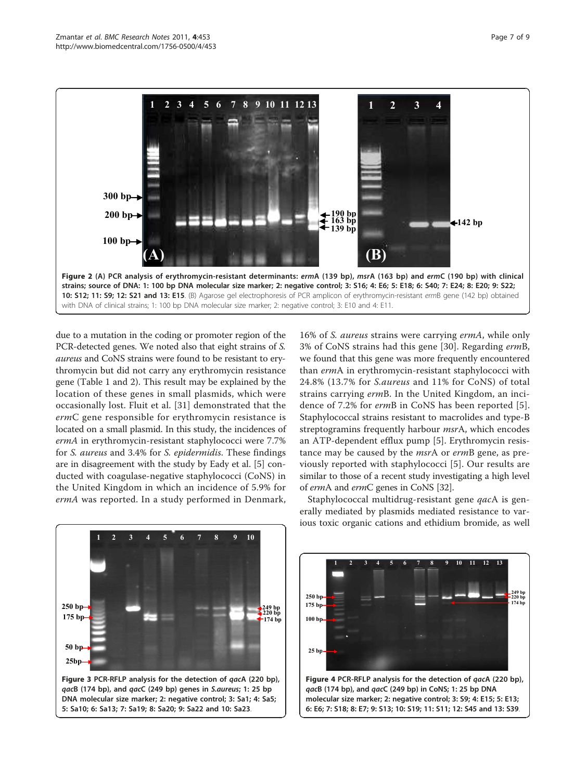<span id="page-6-0"></span>

due to a mutation in the coding or promoter region of the PCR-detected genes. We noted also that eight strains of S. aureus and CoNS strains were found to be resistant to erythromycin but did not carry any erythromycin resistance gene (Table [1](#page-2-0) and [2](#page-3-0)). This result may be explained by the location of these genes in small plasmids, which were occasionally lost. Fluit et al. [\[31](#page-8-0)] demonstrated that the ermC gene responsible for erythromycin resistance is located on a small plasmid. In this study, the incidences of ermA in erythromycin-resistant staphylococci were 7.7% for S. aureus and 3.4% for S. epidermidis. These findings are in disagreement with the study by Eady et al. [\[5](#page-7-0)] conducted with coagulase-negative staphylococci (CoNS) in the United Kingdom in which an incidence of 5.9% for ermA was reported. In a study performed in Denmark,

16% of S. aureus strains were carrying ermA, while only 3% of CoNS strains had this gene [[30](#page-8-0)]. Regarding ermB, we found that this gene was more frequently encountered than ermA in erythromycin-resistant staphylococci with 24.8% (13.7% for S.aureus and 11% for CoNS) of total strains carrying ermB. In the United Kingdom, an incidence of 7.2% for ermB in CoNS has been reported [[5](#page-7-0)]. Staphylococcal strains resistant to macrolides and type-B streptogramins frequently harbour msrA, which encodes an ATP-dependent efflux pump [\[5](#page-7-0)]. Erythromycin resistance may be caused by the *msrA* or ermB gene, as previously reported with staphylococci [[5](#page-7-0)]. Our results are similar to those of a recent study investigating a high level of ermA and ermC genes in CoNS [[32](#page-8-0)].



Staphylococcal multidrug-resistant gene *qacA* is generally mediated by plasmids mediated resistance to various toxic organic cations and ethidium bromide, as well

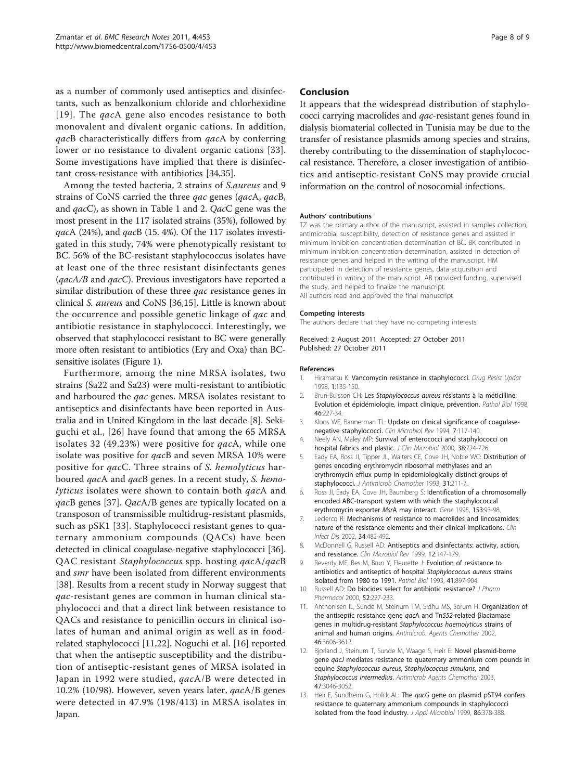<span id="page-7-0"></span>as a number of commonly used antiseptics and disinfectants, such as benzalkonium chloride and chlorhexidine [[19\]](#page-8-0). The *qac*A gene also encodes resistance to both monovalent and divalent organic cations. In addition, qacB characteristically differs from qacA by conferring lower or no resistance to divalent organic cations [[33](#page-8-0)]. Some investigations have implied that there is disinfectant cross-resistance with antibiotics [[34](#page-8-0),[35](#page-8-0)].

Among the tested bacteria, 2 strains of S.aureus and 9 strains of CoNS carried the three qac genes (qacA, qacB, and qacC), as shown in Table [1](#page-2-0) and [2](#page-3-0). QacC gene was the most present in the 117 isolated strains (35%), followed by qacA (24%), and qacB (15. 4%). Of the 117 isolates investigated in this study, 74% were phenotypically resistant to BC. 56% of the BC-resistant staphylococcus isolates have at least one of the three resistant disinfectants genes  $(qacA/B$  and  $qacC$ ). Previous investigators have reported a similar distribution of these three *qac* resistance genes in clinical S. aureus and CoNS [[36,15](#page-8-0)]. Little is known about the occurrence and possible genetic linkage of qac and antibiotic resistance in staphylococci. Interestingly, we observed that staphylococci resistant to BC were generally more often resistant to antibiotics (Ery and Oxa) than BCsensitive isolates (Figure [1](#page-5-0)).

Furthermore, among the nine MRSA isolates, two strains (Sa22 and Sa23) were multi-resistant to antibiotic and harboured the *qac* genes. MRSA isolates resistant to antiseptics and disinfectants have been reported in Australia and in United Kingdom in the last decade [8]. Sekiguchi et al., [[26](#page-8-0)] have found that among the 65 MRSA isolates 32 (49.23%) were positive for qacA, while one isolate was positive for qacB and seven MRSA 10% were positive for qacC. Three strains of S. hemolyticus harboured qacA and qacB genes. In a recent study, S. hemolyticus isolates were shown to contain both qacA and qacB genes [[37](#page-8-0)]. QacA/B genes are typically located on a transposon of transmissible multidrug-resistant plasmids, such as pSK1 [[33](#page-8-0)]. Staphylococci resistant genes to quaternary ammonium compounds (QACs) have been detected in clinical coagulase-negative staphylococci [\[36](#page-8-0)]. QAC resistant Staphylococcus spp. hosting qacA/qacB and smr have been isolated from different environments [[38\]](#page-8-0). Results from a recent study in Norway suggest that qac-resistant genes are common in human clinical staphylococci and that a direct link between resistance to QACs and resistance to penicillin occurs in clinical isolates of human and animal origin as well as in foodrelated staphylococci [11,[22](#page-8-0)]. Noguchi et al. [\[16\]](#page-8-0) reported that when the antiseptic susceptibility and the distribution of antiseptic-resistant genes of MRSA isolated in Japan in 1992 were studied, qacA/B were detected in 10.2% (10/98). However, seven years later, qacA/B genes were detected in 47.9% (198/413) in MRSA isolates in Japan.

#### Conclusion

It appears that the widespread distribution of staphylococci carrying macrolides and qac-resistant genes found in dialysis biomaterial collected in Tunisia may be due to the transfer of resistance plasmids among species and strains, thereby contributing to the dissemination of staphylococcal resistance. Therefore, a closer investigation of antibiotics and antiseptic-resistant CoNS may provide crucial information on the control of nosocomial infections.

#### Authors' contributions

TZ was the primary author of the manuscript, assisted in samples collection, antimicrobial susceptibility, detection of resistance genes and assisted in minimum inhibition concentration determination of BC. BK contributed in minimum inhibition concentration determination, assisted in detection of resistance genes and helped in the writing of the manuscript. HM participated in detection of resistance genes, data acquisition and contributed in writing of the manuscript. AB provided funding, supervised the study, and helped to finalize the manuscript. All authors read and approved the final manuscript

#### Competing interests

The authors declare that they have no competing interests.

#### Received: 2 August 2011 Accepted: 27 October 2011 Published: 27 October 2011

#### References

- 1. Hiramatsu K: [Vancomycin resistance in staphylococci.](http://www.ncbi.nlm.nih.gov/pubmed/16904400?dopt=Abstract) Drug Resist Updat 1998, 1:135-150.
- 2. Brun-Buisson CH: Les Staphylococcus aureus [résistants à la méticilline:](http://www.ncbi.nlm.nih.gov/pubmed/9769902?dopt=Abstract) [Evolution et épidémiologie, impact clinique, prévention.](http://www.ncbi.nlm.nih.gov/pubmed/9769902?dopt=Abstract) Pathol Biol 1998, 46:227-34.
- 3. Kloos WE, Bannerman TL: [Update on clinical significance of coagulase](http://www.ncbi.nlm.nih.gov/pubmed/8118787?dopt=Abstract)[negative staphylococci.](http://www.ncbi.nlm.nih.gov/pubmed/8118787?dopt=Abstract) Clin Microbiol Rev 1994, 7:117-140.
- 4. Neely AN, Maley MP: [Survival of enterococci and staphylococci on](http://www.ncbi.nlm.nih.gov/pubmed/10655374?dopt=Abstract) [hospital fabrics and plastic.](http://www.ncbi.nlm.nih.gov/pubmed/10655374?dopt=Abstract) J Clin Microbiol 2000, 38:724-726.
- 5. Eady EA, Ross JI, Tipper JL, Walters CE, Cove JH, Noble WC: [Distribution of](http://www.ncbi.nlm.nih.gov/pubmed/8463168?dopt=Abstract) [genes encoding erythromycin ribosomal methylases and an](http://www.ncbi.nlm.nih.gov/pubmed/8463168?dopt=Abstract) [erythromycin efflux pump in epidemiologically distinct groups of](http://www.ncbi.nlm.nih.gov/pubmed/8463168?dopt=Abstract) [staphylococci.](http://www.ncbi.nlm.nih.gov/pubmed/8463168?dopt=Abstract) J Antimicrob Chemother 1993, 31:211-7.
- 6. Ross JI, Eady EA, Cove JH, Baumberg S: [Identification of a chromosomally](http://www.ncbi.nlm.nih.gov/pubmed/7883194?dopt=Abstract) [encoded ABC-transport system with which the staphylococcal](http://www.ncbi.nlm.nih.gov/pubmed/7883194?dopt=Abstract) [erythromycin exporter](http://www.ncbi.nlm.nih.gov/pubmed/7883194?dopt=Abstract) MsrA may interact. Gene 1995, 153:93-98.
- 7. Leclercq R: [Mechanisms of resistance to macrolides and lincosamides:](http://www.ncbi.nlm.nih.gov/pubmed/11797175?dopt=Abstract) [nature of the resistance elements and their clinical implications.](http://www.ncbi.nlm.nih.gov/pubmed/11797175?dopt=Abstract) Clin Infect Dis 2002, 34:482-492.
- 8. McDonnell G, Russell AD: [Antiseptics and disinfectants: activity, action,](http://www.ncbi.nlm.nih.gov/pubmed/9880479?dopt=Abstract) [and resistance.](http://www.ncbi.nlm.nih.gov/pubmed/9880479?dopt=Abstract) Clin Microbiol Rev 1999, 12:147-179.
- 9. Reverdy ME, Bes M, Brun Y, Fleurette J: [Evolution of resistance to](http://www.ncbi.nlm.nih.gov/pubmed/8121722?dopt=Abstract) [antibiotics and antiseptics of hospital](http://www.ncbi.nlm.nih.gov/pubmed/8121722?dopt=Abstract) Staphylococcus aureus strains [isolated from 1980 to 1991.](http://www.ncbi.nlm.nih.gov/pubmed/8121722?dopt=Abstract) Pathol Biol 1993, 41:897-904.
- 10. Russell AD: [Do biocides select for antibiotic resistance?](http://www.ncbi.nlm.nih.gov/pubmed/10714955?dopt=Abstract) J Pharm Pharmacol 2000, 52:227-233.
- 11. Anthonisen IL, Sunde M, Steinum TM, Sidhu MS, Sorum H: [Organization of](http://www.ncbi.nlm.nih.gov/pubmed/12384372?dopt=Abstract) [the antiseptic resistance gene](http://www.ncbi.nlm.nih.gov/pubmed/12384372?dopt=Abstract) qacA and Tn552-related βlactamase [genes in multidrug-resistant](http://www.ncbi.nlm.nih.gov/pubmed/12384372?dopt=Abstract) Staphylococcus haemolyticus strains of [animal and human origins.](http://www.ncbi.nlm.nih.gov/pubmed/12384372?dopt=Abstract) Antimicrob. Agents Chemother 2002, 46:3606-3612.
- 12. Bjorland J, Steinum T, Sunde M, Waage S, Heir E: [Novel plasmid-borne](http://www.ncbi.nlm.nih.gov/pubmed/14506007?dopt=Abstract) gene *gacJ* [mediates resistance to quaternary ammonium com pounds in](http://www.ncbi.nlm.nih.gov/pubmed/14506007?dopt=Abstract) equine [Staphylococcus aureus](http://www.ncbi.nlm.nih.gov/pubmed/14506007?dopt=Abstract), Staphylococcus simulans, and [Staphylococcus intermedius](http://www.ncbi.nlm.nih.gov/pubmed/14506007?dopt=Abstract). Antimicrob Agents Chemother 2003, 47:3046-3052.
- 13. Heir E, Sundheim G, Holck AL: The *qacG* [gene on plasmid pST94 confers](http://www.ncbi.nlm.nih.gov/pubmed/10196743?dopt=Abstract) [resistance to quaternary ammonium compounds in staphylococci](http://www.ncbi.nlm.nih.gov/pubmed/10196743?dopt=Abstract) [isolated from the food industry.](http://www.ncbi.nlm.nih.gov/pubmed/10196743?dopt=Abstract) J Appl Microbiol 1999, 86:378-388.